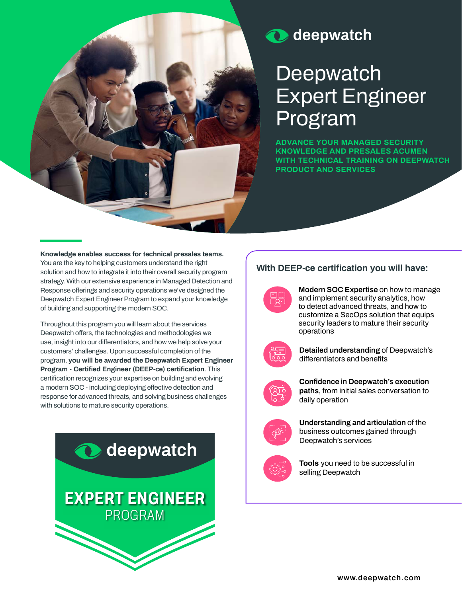

# **O** deepwatch

# **Deepwatch Expert Engineer Program**

**ADVANCE YOUR MANAGED SECURITY KNOWLEDGE AND PRESALES ACUMEN WITH TECHNICAL TRAINING ON DEEPWATCH PRODUCT AND SERVICES** 

**Knowledge enables success for technical presales teams. You are the key to helping customers understand the right solution and how to integrate it into their overall security program strategy. With our extensive experience in Managed Detection and Response offerings and security operations we've designed the Deepwatch Expert Engineer Program to expand your knowledge of building and supporting the modern SOC.** 

**Throughout this program you will learn about the services Deepwatch offers, the technologies and methodologies we use, insight into our differentiators, and how we help solve your customers' challenges. Upon successful completion of the program, you will be awarded the Deepwatch Expert Engineer Program - Certified Engineer (DEEP-ce) certification. This certification recognizes your expertise on building and evolving a modern SOC - including deploying effective detection and response for advanced threats, and solving business challenges with solutions to mature security operations.**



## **With DEEP-ce certification you will have:**

**Modern SOC Expertise on how to manage and implement security analytics, how to detect advanced threats, and how to customize a SecOps solution that equips security leaders to mature their security operations**



**Detailed understanding of Deepwatch's differentiators and benefits**



**Confidence in Deepwatch's execution paths, from initial sales conversation to daily operation**



**Understanding and articulation of the business outcomes gained through Deepwatch's services**



**Tools you need to be successful in selling Deepwatch**